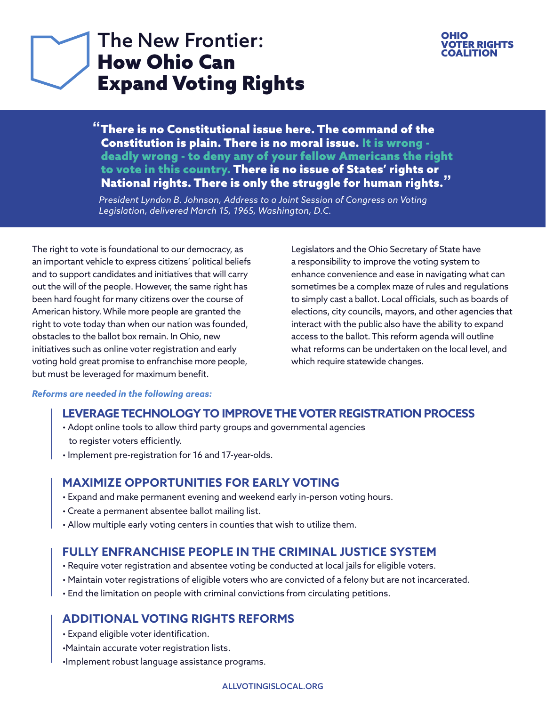## The New Frontier: How Ohio Can Expand Voting Rights

### OHIO TER RIGHTS **COALITION**

**"**There is no Constitutional issue here. The command of the Constitution is plain. There is no moral issue. It is wrong deadly wrong - to deny any of your fellow Americans the right to vote in this country. There is no issue of States' rights or National rights. There is only the struggle for human rights.**"** 

 *President Lyndon B. Johnson, Address to a Joint Session of Congress on Voting Legislation, delivered March 15, 1965, Washington, D.C.*

The right to vote is foundational to our democracy, as an important vehicle to express citizens' political beliefs and to support candidates and initiatives that will carry out the will of the people. However, the same right has been hard fought for many citizens over the course of American history. While more people are granted the right to vote today than when our nation was founded, obstacles to the ballot box remain. In Ohio, new initiatives such as online voter registration and early voting hold great promise to enfranchise more people, but must be leveraged for maximum benefit.

Legislators and the Ohio Secretary of State have a responsibility to improve the voting system to enhance convenience and ease in navigating what can sometimes be a complex maze of rules and regulations to simply cast a ballot. Local officials, such as boards of elections, city councils, mayors, and other agencies that interact with the public also have the ability to expand access to the ballot. This reform agenda will outline what reforms can be undertaken on the local level, and which require statewide changes.

### *Reforms are needed in the following areas:*

### **[LEVERAGE TECHNOLOGY TO IMPROVE THE VOTER REGISTRATION PROCESS](#page-1-0)**

- Adopt online tools to allow third party groups and governmental agencies to register voters efficiently.
- Implement pre-registration for 16 and 17-year-olds.

### **[MAXIMIZE OPPORTUNITIES FOR EARLY VOTING](#page-2-0)**

- Expand and make permanent evening and weekend early in-person voting hours.
- Create a permanent absentee ballot mailing list.
- Allow multiple early voting centers in counties that wish to utilize them.

### **[FULLY ENFRANCHISE PEOPLE IN THE CRIMINAL JUSTICE SYSTEM](#page-3-0)**

- Require voter registration and absentee voting be conducted at local jails for eligible voters.
- Maintain voter registrations of eligible voters who are convicted of a felony but are not incarcerated.
- End the limitation on people with criminal convictions from circulating petitions.

### **[ADDITIONAL VOTING RIGHTS REFORMS](#page-4-0)**

- Expand eligible voter identification.
- •Maintain accurate voter registration lists.
- •Implement robust language assistance programs.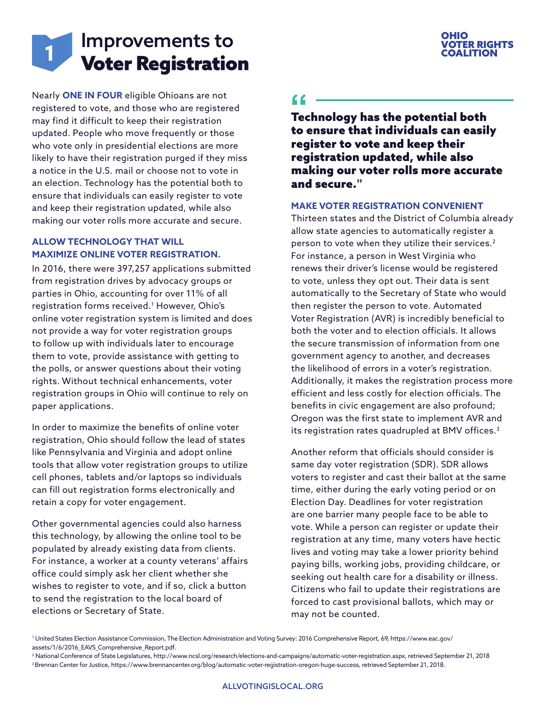# <span id="page-1-0"></span>Improvements to **11 Million** Voter Registration

Nearly **ONE IN FOUR** eligible Ohioans are not registered to vote, and those who are registered may find it difficult to keep their registration updated. People who move frequently or those who vote only in presidential elections are more likely to have their registration purged if they miss a notice in the U.S. mail or choose not to vote in an election. Technology has the potential both to ensure that individuals can easily register to vote and keep their registration updated, while also making our voter rolls more accurate and secure.

### **ALLOW TECHNOLOGY THAT WILL MAXIMIZE ONLINE VOTER REGISTRATION.**

In 2016, there were 397,257 applications submitted from registration drives by advocacy groups or parties in Ohio, accounting for over 11% of all registration forms received.1 However, Ohio's online voter registration system is limited and does not provide a way for voter registration groups to follow up with individuals later to encourage them to vote, provide assistance with getting to the polls, or answer questions about their voting rights. Without technical enhancements, voter registration groups in Ohio will continue to rely on paper applications.

In order to maximize the benefits of online voter registration, Ohio should follow the lead of states like Pennsylvania and Virginia and adopt online tools that allow voter registration groups to utilize cell phones, tablets and/or laptops so individuals can fill out registration forms electronically and retain a copy for voter engagement.

Other governmental agencies could also harness this technology, by allowing the online tool to be populated by already existing data from clients. For instance, a worker at a county veterans' affairs office could simply ask her client whether she wishes to register to vote, and if so, click a button to send the registration to the local board of elections or Secretary of State.

## OHIO VOTER RIGHTS

Technology has the potential both **"** to ensure that individuals can easily register to vote and keep their registration updated, while also making our voter rolls more accurate and secure.**"**

### **MAKE VOTER REGISTRATION CONVENIENT**

Thirteen states and the District of Columbia already allow state agencies to automatically register a person to vote when they utilize their services.<sup>2</sup> For instance, a person in West Virginia who renews their driver's license would be registered to vote, unless they opt out. Their data is sent automatically to the Secretary of State who would then register the person to vote. Automated Voter Registration (AVR) is incredibly beneficial to both the voter and to election officials. It allows the secure transmission of information from one government agency to another, and decreases the likelihood of errors in a voter's registration. Additionally, it makes the registration process more efficient and less costly for election officials. The benefits in civic engagement are also profound; Oregon was the first state to implement AVR and its registration rates quadrupled at BMV offices.<sup>3</sup>

Another reform that officials should consider is same day voter registration (SDR). SDR allows voters to register and cast their ballot at the same time, either during the early voting period or on Election Day. Deadlines for voter registration are one barrier many people face to be able to vote. While a person can register or update their registration at any time, many voters have hectic lives and voting may take a lower priority behind paying bills, working jobs, providing childcare, or seeking out health care for a disability or illness. Citizens who fail to update their registrations are forced to cast provisional ballots, which may or may not be counted.

2 National Conference of State Legislatures, http://www.ncsl.org/research/elections-and-campaigns/automatic-voter-registration.aspx, retrieved September 21, 2018 3 Brennan Center for Justice, https://www.brennancenter.org/blog/automatic-voter-registration-oregon-huge-success, retrieved September 21, 2018.

<sup>1</sup> United States Election Assistance Commission, The Election Administration and Voting Survey: 2016 Comprehensive Report, 69, https://www.eac.gov/ assets/1/6/2016\_EAVS\_Comprehensive\_Report.pdf.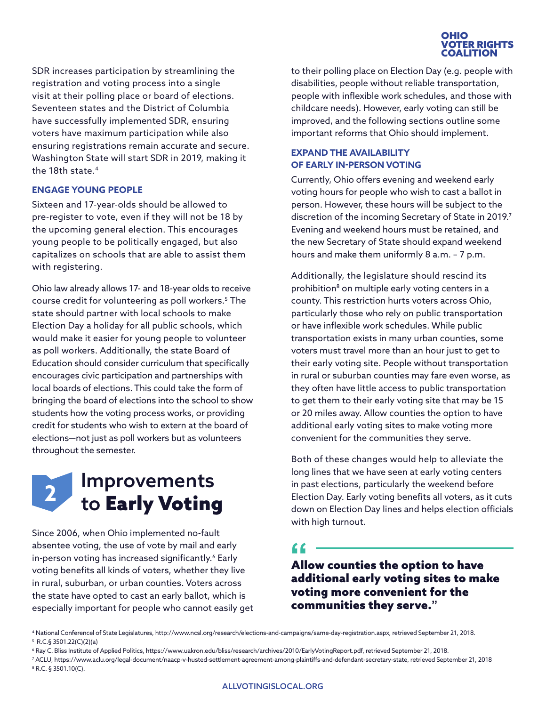

<span id="page-2-0"></span>SDR increases participation by streamlining the registration and voting process into a single visit at their polling place or board of elections. Seventeen states and the District of Columbia have successfully implemented SDR, ensuring voters have maximum participation while also ensuring registrations remain accurate and secure. Washington State will start SDR in 2019, making it the 18th state.4

### **ENGAGE YOUNG PEOPLE**

Sixteen and 17-year-olds should be allowed to pre-register to vote, even if they will not be 18 by the upcoming general election. This encourages young people to be politically engaged, but also capitalizes on schools that are able to assist them with registering.

Ohio law already allows 17- and 18-year olds to receive course credit for volunteering as poll workers.5 The state should partner with local schools to make Election Day a holiday for all public schools, which would make it easier for young people to volunteer as poll workers. Additionally, the state Board of Education should consider curriculum that specifically encourages civic participation and partnerships with local boards of elections. This could take the form of bringing the board of elections into the school to show students how the voting process works, or providing credit for students who wish to extern at the board of elections—not just as poll workers but as volunteers throughout the semester.



Since 2006, when Ohio implemented no-fault absentee voting, the use of vote by mail and early in-person voting has increased significantly.<sup>6</sup> Early voting benefits all kinds of voters, whether they live in rural, suburban, or urban counties. Voters across the state have opted to cast an early ballot, which is especially important for people who cannot easily get to their polling place on Election Day (e.g. people with disabilities, people without reliable transportation, people with inflexible work schedules, and those with childcare needs). However, early voting can still be improved, and the following sections outline some important reforms that Ohio should implement.

### **EXPAND THE AVAILABILITY OF EARLY IN-PERSON VOTING**

Currently, Ohio offers evening and weekend early voting hours for people who wish to cast a ballot in person. However, these hours will be subject to the discretion of the incoming Secretary of State in 2019.<sup>7</sup> Evening and weekend hours must be retained, and the new Secretary of State should expand weekend hours and make them uniformly 8 a.m. – 7 p.m.

Additionally, the legislature should rescind its prohibition<sup>8</sup> on multiple early voting centers in a county. This restriction hurts voters across Ohio, particularly those who rely on public transportation or have inflexible work schedules. While public transportation exists in many urban counties, some voters must travel more than an hour just to get to their early voting site. People without transportation in rural or suburban counties may fare even worse, as they often have little access to public transportation to get them to their early voting site that may be 15 or 20 miles away. Allow counties the option to have additional early voting sites to make voting more convenient for the communities they serve.

Both of these changes would help to alleviate the long lines that we have seen at early voting centers in past elections, particularly the weekend before Election Day. Early voting benefits all voters, as it cuts down on Election Day lines and helps election officials with high turnout.

Allow counties the option to have **"** additional early voting sites to make voting more convenient for the communities they serve.**"**

<sup>4</sup> National Conferencel of State Legislatures, http://www.ncsl.org/research/elections-and-campaigns/same-day-registration.aspx, retrieved September 21, 2018. 5 R.C.§ 3501.22(C)(2)(a)

<sup>6</sup> Ray C. Bliss Institute of Applied Politics, https://www.uakron.edu/bliss/research/archives/2010/EarlyVotingReport.pdf, retrieved September 21, 2018.

<sup>7</sup> ACLU, https://www.aclu.org/legal-document/naacp-v-husted-settlement-agreement-among-plaintiffs-and-defendant-secretary-state, retrieved September 21, 2018 8 R.C. § 3501.10(C).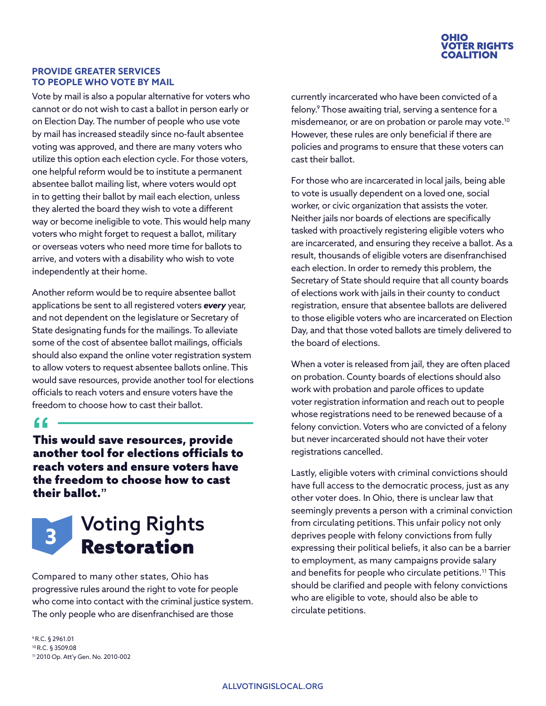

### <span id="page-3-0"></span>**PROVIDE GREATER SERVICES TO PEOPLE WHO VOTE BY MAIL**

Vote by mail is also a popular alternative for voters who cannot or do not wish to cast a ballot in person early or on Election Day. The number of people who use vote by mail has increased steadily since no-fault absentee voting was approved, and there are many voters who utilize this option each election cycle. For those voters, one helpful reform would be to institute a permanent absentee ballot mailing list, where voters would opt in to getting their ballot by mail each election, unless they alerted the board they wish to vote a different way or become ineligible to vote. This would help many voters who might forget to request a ballot, military or overseas voters who need more time for ballots to arrive, and voters with a disability who wish to vote independently at their home.

Another reform would be to require absentee ballot applications be sent to all registered voters *every* year, and not dependent on the legislature or Secretary of State designating funds for the mailings. To alleviate some of the cost of absentee ballot mailings, officials should also expand the online voter registration system to allow voters to request absentee ballots online. This would save resources, provide another tool for elections officials to reach voters and ensure voters have the freedom to choose how to cast their ballot.

This would save resources, provide **"** another tool for elections officials to reach voters and ensure voters have the freedom to choose how to cast their ballot.**"**



Compared to many other states, Ohio has progressive rules around the right to vote for people who come into contact with the criminal justice system. The only people who are disenfranchised are those

9 R.C. § 2961.01 10 R.C. § 3509.08 11 2010 Op. Att'y Gen. No. 2010-002 currently incarcerated who have been convicted of a felony.9 Those awaiting trial, serving a sentence for a misdemeanor, or are on probation or parole may vote.<sup>10</sup> However, these rules are only beneficial if there are policies and programs to ensure that these voters can cast their ballot.

For those who are incarcerated in local jails, being able to vote is usually dependent on a loved one, social worker, or civic organization that assists the voter. Neither jails nor boards of elections are specifically tasked with proactively registering eligible voters who are incarcerated, and ensuring they receive a ballot. As a result, thousands of eligible voters are disenfranchised each election. In order to remedy this problem, the Secretary of State should require that all county boards of elections work with jails in their county to conduct registration, ensure that absentee ballots are delivered to those eligible voters who are incarcerated on Election Day, and that those voted ballots are timely delivered to the board of elections.

When a voter is released from jail, they are often placed on probation. County boards of elections should also work with probation and parole offices to update voter registration information and reach out to people whose registrations need to be renewed because of a felony conviction. Voters who are convicted of a felony but never incarcerated should not have their voter registrations cancelled.

Lastly, eligible voters with criminal convictions should have full access to the democratic process, just as any other voter does. In Ohio, there is unclear law that seemingly prevents a person with a criminal conviction from circulating petitions. This unfair policy not only deprives people with felony convictions from fully expressing their political beliefs, it also can be a barrier to employment, as many campaigns provide salary and benefits for people who circulate petitions.<sup>11</sup> This should be clarified and people with felony convictions who are eligible to vote, should also be able to circulate petitions.